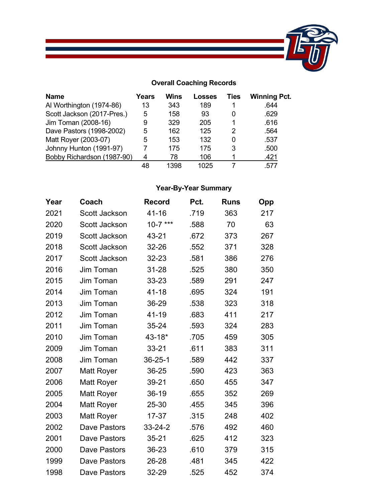

## **Overall Coaching Records**

| <b>Name</b>                | Years | Wins | <b>Losses</b> | Ties | <b>Winning Pct.</b> |
|----------------------------|-------|------|---------------|------|---------------------|
| Al Worthington (1974-86)   | 13    | 343  | 189           |      | .644                |
| Scott Jackson (2017-Pres.) | 5     | 158  | 93            |      | .629                |
| Jim Toman (2008-16)        | 9     | 329  | 205           |      | .616                |
| Dave Pastors (1998-2002)   | 5     | 162  | 125           | 2    | .564                |
| Matt Royer (2003-07)       | 5     | 153  | 132           |      | .537                |
| Johnny Hunton (1991-97)    |       | 175  | 175           | 3    | .500                |
| Bobby Richardson (1987-90) | 4     | 78   | 106           |      | .421                |
|                            | 48    | 1398 | 1025          |      | .577                |

## **Year-By-Year Summary**

| Year | Coach                | <b>Record</b> | Pct. | <b>Runs</b> | Opp |
|------|----------------------|---------------|------|-------------|-----|
| 2021 | <b>Scott Jackson</b> | 41-16         | .719 | 363         | 217 |
| 2020 | Scott Jackson        | $10-7$ ***    | .588 | 70          | 63  |
| 2019 | Scott Jackson        | 43-21         | .672 | 373         | 267 |
| 2018 | Scott Jackson        | 32-26         | .552 | 371         | 328 |
| 2017 | Scott Jackson        | 32-23         | .581 | 386         | 276 |
| 2016 | Jim Toman            | 31-28         | .525 | 380         | 350 |
| 2015 | <b>Jim Toman</b>     | 33-23         | .589 | 291         | 247 |
| 2014 | Jim Toman            | 41-18         | .695 | 324         | 191 |
| 2013 | <b>Jim Toman</b>     | 36-29         | .538 | 323         | 318 |
| 2012 | <b>Jim Toman</b>     | 41-19         | .683 | 411         | 217 |
| 2011 | <b>Jim Toman</b>     | 35-24         | .593 | 324         | 283 |
| 2010 | Jim Toman            | 43-18*        | .705 | 459         | 305 |
| 2009 | <b>Jim Toman</b>     | $33 - 21$     | .611 | 383         | 311 |
| 2008 | Jim Toman            | $36 - 25 - 1$ | .589 | 442         | 337 |
| 2007 | <b>Matt Royer</b>    | 36-25         | .590 | 423         | 363 |
| 2006 | <b>Matt Royer</b>    | 39-21         | .650 | 455         | 347 |
| 2005 | <b>Matt Royer</b>    | 36-19         | .655 | 352         | 269 |
| 2004 | <b>Matt Royer</b>    | 25-30         | .455 | 345         | 396 |
| 2003 | <b>Matt Royer</b>    | $17 - 37$     | .315 | 248         | 402 |
| 2002 | <b>Dave Pastors</b>  | $33 - 24 - 2$ | .576 | 492         | 460 |
| 2001 | <b>Dave Pastors</b>  | $35 - 21$     | .625 | 412         | 323 |
| 2000 | Dave Pastors         | 36-23         | .610 | 379         | 315 |
| 1999 | <b>Dave Pastors</b>  | 26-28         | .481 | 345         | 422 |
| 1998 | Dave Pastors         | 32-29         | .525 | 452         | 374 |